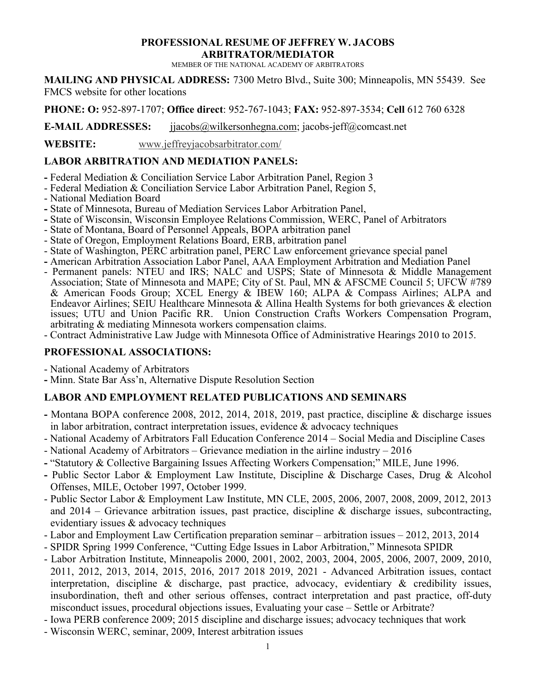#### **PROFESSIONAL RESUME OF JEFFREY W. JACOBS ARBITRATOR/MEDIATOR**

MEMBER OF THE NATIONAL ACADEMY OF ARBITRATORS

**MAILING AND PHYSICAL ADDRESS:** 7300 Metro Blvd., Suite 300; Minneapolis, MN 55439. See FMCS website for other locations

**PHONE: O:** 952-897-1707; **Office direct**: 952-767-1043; **FAX:** 952-897-3534; **Cell** 612 760 6328

**E-MAIL ADDRESSES:** [jjacobs@wilkersonhegna.com;](mailto:jjacobs@wilkersonhegna.com) jacobs-jeff@comcast.net

**WEBSITE:** www.jeffreyjacobsarbitrator.com/

## **LABOR ARBITRATION AND MEDIATION PANELS:**

- **-** Federal Mediation & Conciliation Service Labor Arbitration Panel, Region 3
- Federal Mediation & Conciliation Service Labor Arbitration Panel, Region 5,
- National Mediation Board
- **-** State of Minnesota, Bureau of Mediation Services Labor Arbitration Panel,
- **-** State of Wisconsin, Wisconsin Employee Relations Commission, WERC, Panel of Arbitrators
- State of Montana, Board of Personnel Appeals, BOPA arbitration panel
- State of Oregon, Employment Relations Board, ERB, arbitration panel
- State of Washington, PERC arbitration panel, PERC Law enforcement grievance special panel
- **-** American Arbitration Association Labor Panel, AAA Employment Arbitration and Mediation Panel
- Permanent panels: NTEU and IRS; NALC and USPS; State of Minnesota & Middle Management Association; State of Minnesota and MAPE; City of St. Paul, MN & AFSCME Council 5; UFCW #789 & American Foods Group; XCEL Energy & IBEW 160; ALPA & Compass Airlines; ALPA and Endeavor Airlines; SEIU Healthcare Minnesota & Allina Health Systems for both grievances & election issues; UTU and Union Pacific RR. Union Construction Crafts Workers Compensation Program, arbitrating & mediating Minnesota workers compensation claims.
- Contract Administrative Law Judge with Minnesota Office of Administrative Hearings 2010 to 2015.

#### **PROFESSIONAL ASSOCIATIONS:**

- National Academy of Arbitrators

**-** Minn. State Bar Ass'n, Alternative Dispute Resolution Section

### **LABOR AND EMPLOYMENT RELATED PUBLICATIONS AND SEMINARS**

- **-** Montana BOPA conference 2008, 2012, 2014, 2018, 2019, past practice, discipline & discharge issues in labor arbitration, contract interpretation issues, evidence & advocacy techniques
- National Academy of Arbitrators Fall Education Conference 2014 Social Media and Discipline Cases
- National Academy of Arbitrators Grievance mediation in the airline industry 2016
- **-** "Statutory & Collective Bargaining Issues Affecting Workers Compensation;" MILE, June 1996.
- **-** Public Sector Labor & Employment Law Institute, Discipline & Discharge Cases, Drug & Alcohol Offenses, MILE, October 1997, October 1999.
- Public Sector Labor & Employment Law Institute, MN CLE, 2005, 2006, 2007, 2008, 2009, 2012, 2013 and 2014 – Grievance arbitration issues, past practice, discipline & discharge issues, subcontracting, evidentiary issues & advocacy techniques
- Labor and Employment Law Certification preparation seminar arbitration issues 2012, 2013, 2014
- SPIDR Spring 1999 Conference, "Cutting Edge Issues in Labor Arbitration," Minnesota SPIDR
- Labor Arbitration Institute, Minneapolis 2000, 2001, 2002, 2003, 2004, 2005, 2006, 2007, 2009, 2010, 2011, 2012, 2013, 2014, 2015, 2016, 2017 2018 2019, 2021 - Advanced Arbitration issues, contact interpretation, discipline & discharge, past practice, advocacy, evidentiary & credibility issues, insubordination, theft and other serious offenses, contract interpretation and past practice, off-duty misconduct issues, procedural objections issues, Evaluating your case – Settle or Arbitrate?
- Iowa PERB conference 2009; 2015 discipline and discharge issues; advocacy techniques that work
- Wisconsin WERC, seminar, 2009, Interest arbitration issues